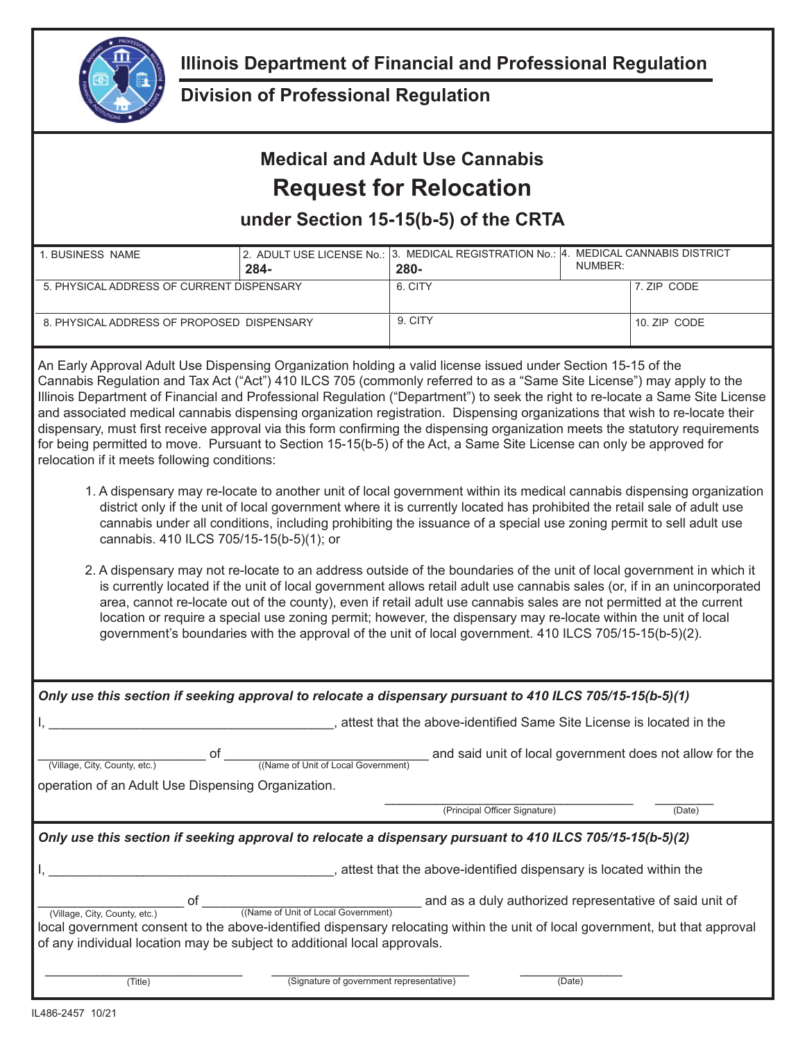

## **Division of Professional Regulation**

## **Medical and Adult Use Cannabis Request for Relocation**

**under Section 15-15(b-5) of the CRTA**

| 1. BUSINESS NAME                           | 284- | 2. ADULT USE LICENSE No.: 3. MEDICAL REGISTRATION No.: 4. MEDICAL CANNABIS DISTRICT<br>$280 -$ | NUMBER: |              |
|--------------------------------------------|------|------------------------------------------------------------------------------------------------|---------|--------------|
| 5. PHYSICAL ADDRESS OF CURRENT DISPENSARY  |      | 6. CITY                                                                                        |         | 7. ZIP CODE  |
| 8. PHYSICAL ADDRESS OF PROPOSED DISPENSARY |      | 9. CITY                                                                                        |         | 10. ZIP CODE |

An Early Approval Adult Use Dispensing Organization holding a valid license issued under Section 15-15 of the Cannabis Regulation and Tax Act ("Act") 410 ILCS 705 (commonly referred to as a "Same Site License") may apply to the Illinois Department of Financial and Professional Regulation ("Department") to seek the right to re-locate a Same Site License and associated medical cannabis dispensing organization registration. Dispensing organizations that wish to re-locate their dispensary, must first receive approval via this form confirming the dispensing organization meets the statutory requirements for being permitted to move. Pursuant to Section 15-15(b-5) of the Act, a Same Site License can only be approved for relocation if it meets following conditions:

- 1. A dispensary may re-locate to another unit of local government within its medical cannabis dispensing organization district only if the unit of local government where it is currently located has prohibited the retail sale of adult use cannabis under all conditions, including prohibiting the issuance of a special use zoning permit to sell adult use cannabis. 410 ILCS 705/15-15(b-5)(1); or
- 2. A dispensary may not re-locate to an address outside of the boundaries of the unit of local government in which it is currently located if the unit of local government allows retail adult use cannabis sales (or, if in an unincorporated area, cannot re-locate out of the county), even if retail adult use cannabis sales are not permitted at the current location or require a special use zoning permit; however, the dispensary may re-locate within the unit of local government's boundaries with the approval of the unit of local government. 410 ILCS 705/15-15(b-5)(2).

| Only use this section if seeking approval to relocate a dispensary pursuant to 410 ILCS 705/15-15(b-5)(1)                     |                                                                     |        |  |  |
|-------------------------------------------------------------------------------------------------------------------------------|---------------------------------------------------------------------|--------|--|--|
| , attest that the above-identified Same Site License is located in the                                                        |                                                                     |        |  |  |
| оf<br>((Name of Unit of Local Government)<br>(Village, City, County, etc.)                                                    | and said unit of local government does not allow for the            |        |  |  |
| operation of an Adult Use Dispensing Organization.                                                                            |                                                                     |        |  |  |
|                                                                                                                               | (Principal Officer Signature)                                       | (Date) |  |  |
| Only use this section if seeking approval to relocate a dispensary pursuant to 410 ILCS 705/15-15(b-5)(2)                     |                                                                     |        |  |  |
|                                                                                                                               | , attest that the above-identified dispensary is located within the |        |  |  |
| (Name of Unit of Local Government)<br>(Village, City, County, etc.)                                                           | and as a duly authorized representative of said unit of             |        |  |  |
| local government consent to the above-identified dispensary relocating within the unit of local government, but that approval |                                                                     |        |  |  |
| of any individual location may be subject to additional local approvals.                                                      |                                                                     |        |  |  |
|                                                                                                                               |                                                                     |        |  |  |
| (Signature of government representative)<br>(Title)                                                                           | (Date)                                                              |        |  |  |